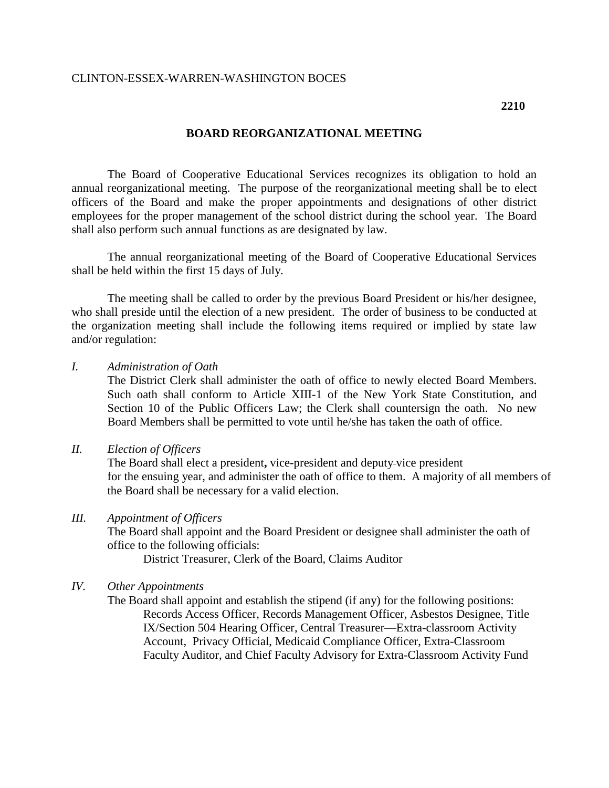## CLINTON-ESSEX-WARREN-WASHINGTON BOCES

# **BOARD REORGANIZATIONAL MEETING**

The Board of Cooperative Educational Services recognizes its obligation to hold an annual reorganizational meeting. The purpose of the reorganizational meeting shall be to elect officers of the Board and make the proper appointments and designations of other district employees for the proper management of the school district during the school year. The Board shall also perform such annual functions as are designated by law.

The annual reorganizational meeting of the Board of Cooperative Educational Services shall be held within the first 15 days of July.

The meeting shall be called to order by the previous Board President or his/her designee, who shall preside until the election of a new president. The order of business to be conducted at the organization meeting shall include the following items required or implied by state law and/or regulation:

*I. Administration of Oath*

The District Clerk shall administer the oath of office to newly elected Board Members. Such oath shall conform to Article XIII-1 of the New York State Constitution, and Section 10 of the Public Officers Law; the Clerk shall countersign the oath. No new Board Members shall be permitted to vote until he/she has taken the oath of office.

*II. Election of Officers*

The Board shall elect a president**,** vice-president and deputy vice president for the ensuing year, and administer the oath of office to them. A majority of all members of the Board shall be necessary for a valid election.

#### *III. Appointment of Officers*

The Board shall appoint and the Board President or designee shall administer the oath of office to the following officials:

District Treasurer, Clerk of the Board, Claims Auditor

### *IV. Other Appointments*

The Board shall appoint and establish the stipend (if any) for the following positions: Records Access Officer, Records Management Officer, Asbestos Designee, Title IX/Section 504 Hearing Officer, Central Treasurer—Extra-classroom Activity Account, Privacy Official, Medicaid Compliance Officer, Extra-Classroom Faculty Auditor, and Chief Faculty Advisory for Extra-Classroom Activity Fund